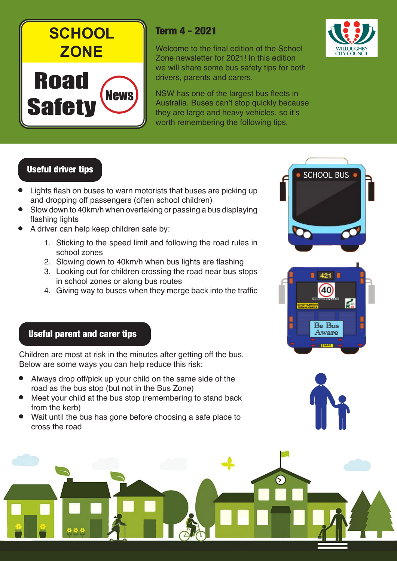

# Term 4 - 2021

Welcome to the final edition of the School Zone newsletter for 2021! In this edition we will share some bus safety tips for both drivers, parents and carers.

NSW has one of the largest bus fleets in Australia. Buses can't stop quickly because they are large and heavy vehicles, so it's worth remembering the following tips.



- Lights flash on buses to warn motorists that buses are picking up and dropping off passengers (often school children)
- Slow down to 40km/h when overtaking or passing a bus displaying flashing lights
- A driver can help keep children safe by:
	- 1. Sticking to the speed limit and following the road rules in school zones
	- 2. Slowing down to 40km/h when bus lights are flashing
	- 3. Looking out for children crossing the road near bus stops in school zones or along bus routes
	- 4. Giving way to buses when they merge back into the traffic

### Useful parent and carer tips

Children are most at risk in the minutes after getting off the bus. Below are some ways you can help reduce this risk:

- Always drop off/pick up your child on the same side of the road as the bus stop (but not in the Bus Zone)
- Meet your child at the bus stop (remembering to stand back from the kerb)
- Wait until the bus has gone before choosing a safe place to cross the road